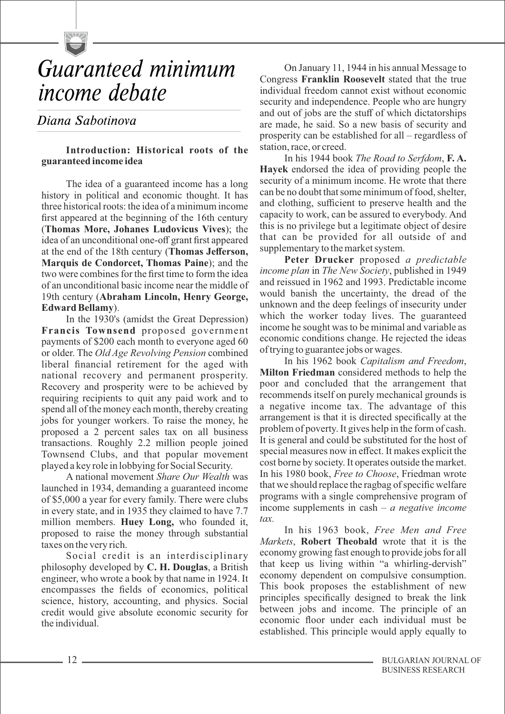

# *Guaranteed minimum income debate*

# *Diana Sabotinova*

#### **Introduction: Historical roots of the guaranteed income idea**

The idea of a guaranteed income has a long history in political and economic thought. It has three historical roots: the idea of a minimum income first appeared at the beginning of the 16th century (**Thomas More, Johanes Ludovicus Vives**); the idea of an unconditional one-off grant first appeared at the end of the 18th century (**Thomas Jefferson, Marquis de Condorcet, Thomas Paine**); and the two were combines for the first time to form the idea of an unconditional basic income near the middle of 19th century (**Abraham Lincoln, Henry George, Edward Bellamy**).

In the 1930's (amidst the Great Depression) **Francis Townsend** proposed government payments of \$200 each month to everyone aged 60 or older. The *Old Age Revolving Pension* combined liberal financial retirement for the aged with national recovery and permanent prosperity. Recovery and prosperity were to be achieved by requiring recipients to quit any paid work and to spend all of the money each month, thereby creating jobs for younger workers. To raise the money, he proposed a 2 percent sales tax on all business transactions. Roughly 2.2 million people joined Townsend Clubs, and that popular movement played a key role in lobbying for Social Security.

A national movement *Share Our Wealth* was launched in 1934, demanding a guaranteed income of \$5,000 a year for every family. There were clubs in every state, and in 1935 they claimed to have 7.7 million members. **Huey Long,** who founded it, proposed to raise the money through substantial taxes on the very rich.

Social credit is an interdisciplinary philosophy developed by **C. H. Douglas**, a British engineer, who wrote a book by that name in 1924. It encompasses the fields of economics, political science, history, accounting, and physics. Social credit would give absolute economic security for the individual.

On January 11, 1944 in his annual Message to Congress **Franklin Roosevelt** stated that the true individual freedom cannot exist without economic security and independence. People who are hungry and out of jobs are the stuff of which dictatorships are made, he said. So a new basis of security and prosperity can be established for all – regardless of station, race, or creed.

In his 1944 book *The Road to Serfdom*, **F. A. Hayek** endorsed the idea of providing people the security of a minimum income. He wrote that there can be no doubt that some minimum of food, shelter, and clothing, sufficient to preserve health and the capacity to work, can be assured to everybody. And this is no privilege but a legitimate object of desire that can be provided for all outside of and supplementary to the market system.

**Peter Drucker** proposed *a predictable income plan* in *The New Society*, published in 1949 and reissued in 1962 and 1993. Predictable income would banish the uncertainty, the dread of the unknown and the deep feelings of insecurity under which the worker today lives. The guaranteed income he sought was to be minimal and variable as economic conditions change. He rejected the ideas of trying to guarantee jobs or wages.

In his 1962 book *Capitalism and Freedom*, **Milton Friedman** considered methods to help the poor and concluded that the arrangement that recommends itself on purely mechanical grounds is a negative income tax. The advantage of this arrangement is that it is directed specifically at the problem of poverty. It gives help in the form of cash. It is general and could be substituted for the host of special measures now in effect. It makes explicit the cost borne by society. It operates outside the market. In his 1980 book, *Free to Choose*, Friedman wrote that we should replace the ragbag of specific welfare programs with a single comprehensive program of income supplements in cash – *a negative income tax.* 

In his 1963 book, *Free Men and Free Markets*, **Robert Theobald** wrote that it is the economy growing fast enough to provide jobs for all that keep us living within "a whirling-dervish" economy dependent on compulsive consumption. This book proposes the establishment of new principles specifically designed to break the link between jobs and income. The principle of an economic floor under each individual must be established. This principle would apply equally to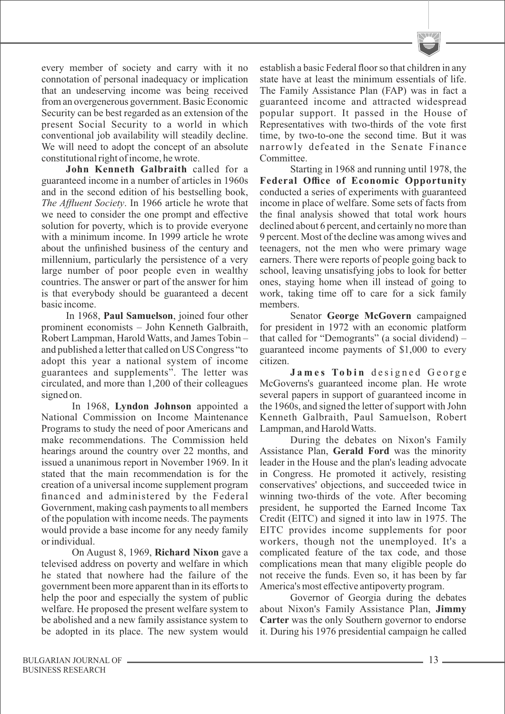

every member of society and carry with it no connotation of personal inadequacy or implication that an undeserving income was being received from an overgenerous government. Basic Economic Security can be best regarded as an extension of the present Social Security to a world in which conventional job availability will steadily decline. We will need to adopt the concept of an absolute constitutional right of income, he wrote.

**John Kenneth Galbraith** called for a guaranteed income in a number of articles in 1960s and in the second edition of his bestselling book, *The Affluent Society*. In 1966 article he wrote that we need to consider the one prompt and effective solution for poverty, which is to provide everyone with a minimum income. In 1999 article he wrote about the unfinished business of the century and millennium, particularly the persistence of a very large number of poor people even in wealthy countries. The answer or part of the answer for him is that everybody should be guaranteed a decent basic income.

In 1968, **Paul Samuelson**, joined four other prominent economists – John Kenneth Galbraith, Robert Lampman, Harold Watts, and James Tobin – and published a letter that called on US Congress "to adopt this year a national system of income guarantees and supplements". The letter was circulated, and more than 1,200 of their colleagues signed on.

In 1968, **Lyndon Johnson** appointed a National Commission on Income Maintenance Programs to study the need of poor Americans and make recommendations. The Commission held hearings around the country over 22 months, and issued a unanimous report in November 1969. In it stated that the main recommendation is for the creation of a universal income supplement program financed and administered by the Federal Government, making cash payments to all members of the population with income needs. The payments would provide a base income for any needy family or individual.

On August 8, 1969, **Richard Nixon** gave a televised address on poverty and welfare in which he stated that nowhere had the failure of the government been more apparent than in its efforts to help the poor and especially the system of public welfare. He proposed the present welfare system to be abolished and a new family assistance system to be adopted in its place. The new system would

establish a basic Federal floor so that children in any state have at least the minimum essentials of life. The Family Assistance Plan (FAP) was in fact a guaranteed income and attracted widespread popular support. It passed in the House of Representatives with two-thirds of the vote first time, by two-to-one the second time. But it was narrowly defeated in the Senate Finance Committee.

Starting in 1968 and running until 1978, the **Federal Office of Economic Opportunity** conducted a series of experiments with guaranteed income in place of welfare. Some sets of facts from the final analysis showed that total work hours declined about 6 percent, and certainly no more than 9 percent. Most of the decline was among wives and teenagers, not the men who were primary wage earners. There were reports of people going back to school, leaving unsatisfying jobs to look for better ones, staying home when ill instead of going to work, taking time off to care for a sick family members.

Senator **George McGovern** campaigned for president in 1972 with an economic platform that called for "Demogrants" (a social dividend) – guaranteed income payments of \$1,000 to every citizen.

**J a m e s To b i n** d e si g n e d G e o r g e McGoverns's guaranteed income plan. He wrote several papers in support of guaranteed income in the 1960s, and signed the letter of support with John Kenneth Galbraith, Paul Samuelson, Robert Lampman, and Harold Watts.

During the debates on Nixon's Family Assistance Plan, **Gerald Ford** was the minority leader in the House and the plan's leading advocate in Congress. He promoted it actively, resisting conservatives' objections, and succeeded twice in winning two-thirds of the vote. After becoming president, he supported the Earned Income Tax Credit (EITC) and signed it into law in 1975. The EITC provides income supplements for poor workers, though not the unemployed. It's a complicated feature of the tax code, and those complications mean that many eligible people do not receive the funds. Even so, it has been by far America's most effective antipoverty program.

Governor of Georgia during the debates about Nixon's Family Assistance Plan, **Jimmy Carter** was the only Southern governor to endorse it. During his 1976 presidential campaign he called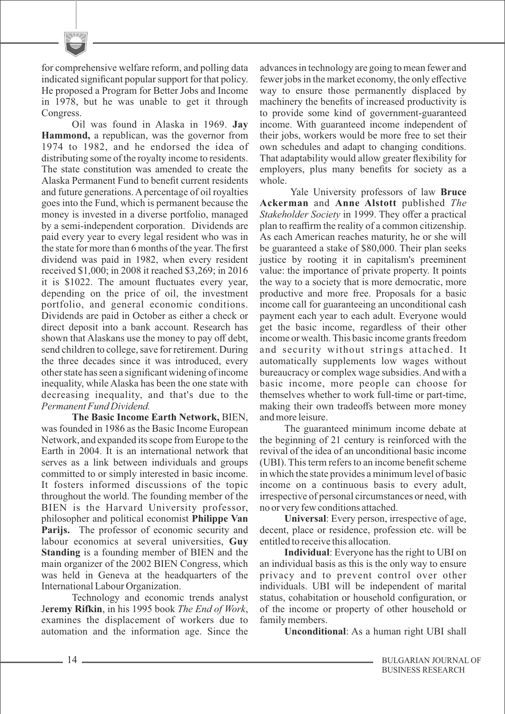for comprehensive welfare reform, and polling data indicated significant popular support for that policy. He proposed a Program for Better Jobs and Income in 1978, but he was unable to get it through Congress.

Oil was found in Alaska in 1969. **Jay Hammond,** a republican, was the governor from 1974 to 1982, and he endorsed the idea of distributing some of the royalty income to residents. The state constitution was amended to create the Alaska Permanent Fund to benefit current residents and future generations. Apercentage of oil royalties goes into the Fund, which is permanent because the money is invested in a diverse portfolio, managed by a semi-independent corporation. Dividends are paid every year to every legal resident who was in the state for more than 6 months of the year. The first dividend was paid in 1982, when every resident received \$1,000; in 2008 it reached \$3,269; in 2016 it is \$1022. The amount fluctuates every year, depending on the price of oil, the investment portfolio, and general economic conditions. Dividends are paid in October as either a check or direct deposit into a bank account. Research has shown that Alaskans use the money to pay off debt, send children to college, save for retirement. During the three decades since it was introduced, every other state has seen a significant widening of income inequality, while Alaska has been the one state with decreasing inequality, and that's due to the *Permanent Fund Dividend.* 

**The Basic Income Earth Network,** BIEN, was founded in 1986 as the Basic Income European Network, and expanded its scope from Europe to the Earth in 2004. It is an international network that serves as a link between individuals and groups committed to or simply interested in basic income. It fosters informed discussions of the topic throughout the world. The founding member of the BIEN is the Harvard University professor, philosopher and political economist **Philippe Van Parijs.** The professor of economic security and labour economics at several universities, **Guy Standing** is a founding member of BIEN and the main organizer of the 2002 BIEN Congress, which was held in Geneva at the headquarters of the International Labour Organization.

Technology and economic trends analyst J**eremy Rifkin**, in his 1995 book *The End of Work*, examines the displacement of workers due to automation and the information age. Since the advances in technology are going to mean fewer and fewer jobs in the market economy, the only effective way to ensure those permanently displaced by machinery the benefits of increased productivity is to provide some kind of government-guaranteed income. With guaranteed income independent of their jobs, workers would be more free to set their own schedules and adapt to changing conditions. That adaptability would allow greater flexibility for employers, plus many benefits for society as a whole.

Yale University professors of law **Bruce Ackerman** and **Anne Alstott** published *The Stakeholder Society* in 1999. They offer a practical plan to reaffirm the reality of a common citizenship. As each American reaches maturity, he or she will be guaranteed a stake of \$80,000. Their plan seeks justice by rooting it in capitalism's preeminent value: the importance of private property. It points the way to a society that is more democratic, more productive and more free. Proposals for a basic income call for guaranteeing an unconditional cash payment each year to each adult. Everyone would get the basic income, regardless of their other income or wealth.This basic income grants freedom and security without strings attached. It automatically supplements low wages without bureaucracy or complex wage subsidies. And with a basic income, more people can choose for themselves whether to work full-time or part-time, making their own tradeoffs between more money and more leisure.

The guaranteed minimum income debate at the beginning of 21 century is reinforced with the revival of the idea of an unconditional basic income (UBI). This term refers to an income benefit scheme in which the state provides a minimum level of basic income on a continuous basis to every adult, irrespective of personal circumstances or need, with no or very few conditions attached.

**Universal**: Every person, irrespective of age, decent, place or residence, profession etc. will be entitled to receive this allocation.

**Individual**: Everyone has the right to UBI on an individual basis as this is the only way to ensure privacy and to prevent control over other individuals. UBI will be independent of marital status, cohabitation or household configuration, or of the income or property of other household or family members.

**Unconditional**: As a human right UBI shall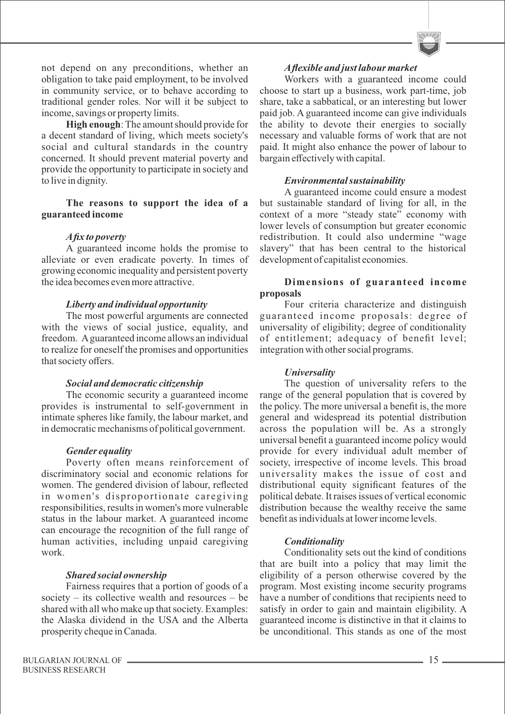not depend on any preconditions, whether an obligation to take paid employment, to be involved in community service, or to behave according to traditional gender roles. Nor will it be subject to income, savings or property limits.

**High enough**: The amount should provide for a decent standard of living, which meets society's social and cultural standards in the country concerned. It should prevent material poverty and provide the opportunity to participate in society and to live in dignity.

#### **The reasons to support the idea of a guaranteed income**

# *Afix to poverty*

A guaranteed income holds the promise to alleviate or even eradicate poverty. In times of growing economic inequality and persistent poverty the idea becomes even more attractive.

#### *Liberty and individual opportunity*

The most powerful arguments are connected with the views of social justice, equality, and freedom. Aguaranteed income allows an individual to realize for oneself the promises and opportunities that society offers.

#### *Social and democratic citizenship*

The economic security a guaranteed income provides is instrumental to self-government in intimate spheres like family, the labour market, and in democratic mechanisms of political government.

# *Gender equality*

Poverty often means reinforcement of discriminatory social and economic relations for women. The gendered division of labour, reflected in women's disproportionate caregiving responsibilities, results in women's more vulnerable status in the labour market. A guaranteed income can encourage the recognition of the full range of human activities, including unpaid caregiving work.

# *Shared social ownership*

Fairness requires that a portion of goods of a society – its collective wealth and resources – be shared with all who make up that society. Examples: the Alaska dividend in the USA and the Alberta prosperity cheque in Canada.

Workers with a guaranteed income could choose to start up a business, work part-time, job share, take a sabbatical, or an interesting but lower paid job. A guaranteed income can give individuals the ability to devote their energies to socially necessary and valuable forms of work that are not paid. It might also enhance the power of labour to bargain effectively with capital.

# *Environmental sustainability*

A guaranteed income could ensure a modest but sustainable standard of living for all, in the context of a more "steady state" economy with lower levels of consumption but greater economic redistribution. It could also undermine "wage slavery" that has been central to the historical development of capitalist economies.

#### **Dimensions of guaranteed income proposals**

Four criteria characterize and distinguish guaranteed income proposals: degree of universality of eligibility; degree of conditionality of entitlement; adequacy of benefit level; integration with other social programs.

# *Universality*

The question of universality refers to the range of the general population that is covered by the policy. The more universal a benefit is, the more general and widespread its potential distribution across the population will be. As a strongly universal benefit a guaranteed income policy would provide for every individual adult member of society, irrespective of income levels. This broad universality makes the issue of cost and distributional equity significant features of the political debate. It raises issues of vertical economic distribution because the wealthy receive the same benefit as individuals at lower income levels.

# *Conditionality*

Conditionality sets out the kind of conditions that are built into a policy that may limit the eligibility of a person otherwise covered by the program. Most existing income security programs have a number of conditions that recipients need to satisfy in order to gain and maintain eligibility. A guaranteed income is distinctive in that it claims to be unconditional. This stands as one of the most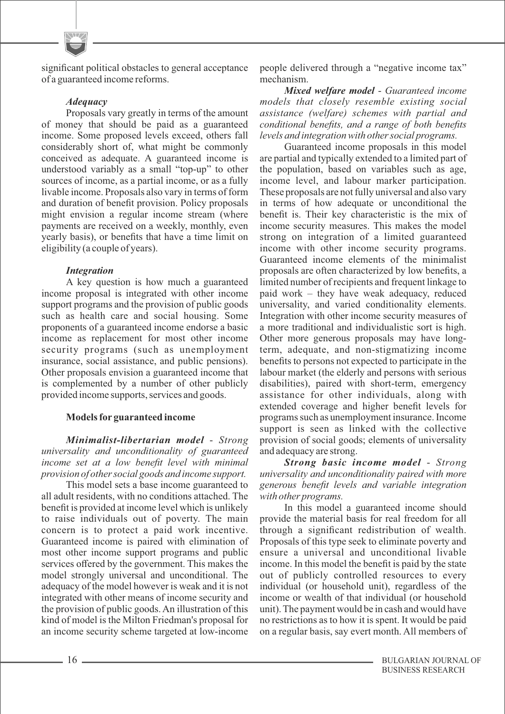significant political obstacles to general acceptance of a guaranteed income reforms.

#### *Adequacy*

Proposals vary greatly in terms of the amount of money that should be paid as a guaranteed income. Some proposed levels exceed, others fall considerably short of, what might be commonly conceived as adequate. A guaranteed income is understood variably as a small "top-up" to other sources of income, as a partial income, or as a fully livable income. Proposals also vary in terms of form and duration of benefit provision. Policy proposals might envision a regular income stream (where payments are received on a weekly, monthly, even yearly basis), or benefits that have a time limit on eligibility (a couple of years).

# *Integration*

A key question is how much a guaranteed income proposal is integrated with other income support programs and the provision of public goods such as health care and social housing. Some proponents of a guaranteed income endorse a basic income as replacement for most other income security programs (such as unemployment insurance, social assistance, and public pensions). Other proposals envision a guaranteed income that is complemented by a number of other publicly provided income supports, services and goods.

# **Models for guaranteed income**

*Minimalist-libertarian model* - *Strong universality and unconditionality of guaranteed income set at a low benefit level with minimal provision of other social goods and income support.*

This model sets a base income guaranteed to all adult residents, with no conditions attached. The benefit is provided at income level which is unlikely to raise individuals out of poverty. The main concern is to protect a paid work incentive. Guaranteed income is paired with elimination of most other income support programs and public services offered by the government. This makes the model strongly universal and unconditional. The adequacy of the model however is weak and it is not integrated with other means of income security and the provision of public goods. An illustration of this kind of model is the Milton Friedman's proposal for an income security scheme targeted at low-income

people delivered through a "negative income tax" mechanism.

*Mixed welfare model* - *Guaranteed income models that closely resemble existing social assistance (welfare) schemes with partial and conditional benefits, and a range of both benefits levels and integration with other social programs.*

Guaranteed income proposals in this model are partial and typically extended to a limited part of the population, based on variables such as age, income level, and labour marker participation. These proposals are not fully universal and also vary in terms of how adequate or unconditional the benefit is. Their key characteristic is the mix of income security measures. This makes the model strong on integration of a limited guaranteed income with other income security programs. Guaranteed income elements of the minimalist proposals are often characterized by low benefits, a limited number of recipients and frequent linkage to paid work – they have weak adequacy, reduced universality, and varied conditionality elements. Integration with other income security measures of a more traditional and individualistic sort is high. Other more generous proposals may have longterm, adequate, and non-stigmatizing income benefits to persons not expected to participate in the labour market (the elderly and persons with serious disabilities), paired with short-term, emergency assistance for other individuals, along with extended coverage and higher benefit levels for programs such as unemployment insurance. Income support is seen as linked with the collective provision of social goods; elements of universality and adequacy are strong.

*Strong basic income model* - *Strong universality and unconditionality paired with more generous benefit levels and variable integration with other programs.*

In this model a guaranteed income should provide the material basis for real freedom for all through a significant redistribution of wealth. Proposals of this type seek to eliminate poverty and ensure a universal and unconditional livable income. In this model the benefit is paid by the state out of publicly controlled resources to every individual (or household unit), regardless of the income or wealth of that individual (or household unit). The payment would be in cash and would have no restrictions as to how it is spent. It would be paid on a regular basis, say evert month. All members of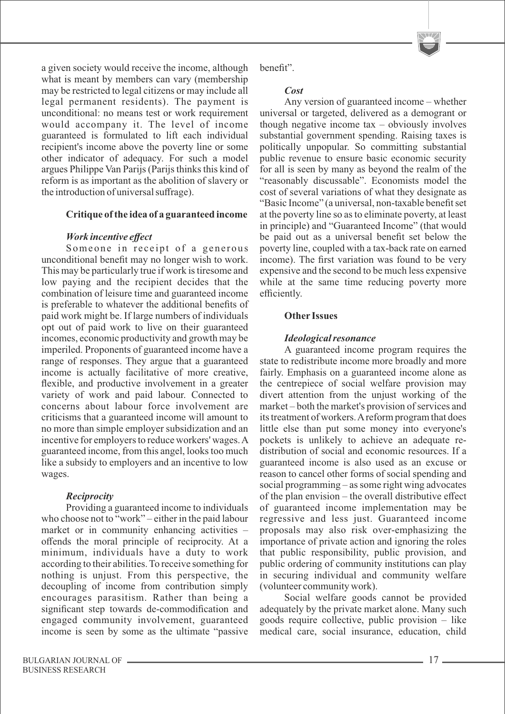a given society would receive the income, although what is meant by members can vary (membership may be restricted to legal citizens or may include all legal permanent residents). The payment is unconditional: no means test or work requirement would accompany it. The level of income guaranteed is formulated to lift each individual recipient's income above the poverty line or some other indicator of adequacy. For such a model argues Philippe Van Parijs (Parijs thinks this kind of reform is as important as the abolition of slavery or the introduction of universal suffrage).

#### **Critique of the idea of a guaranteed income**

#### *Work incentive effect*

Someone in receipt of a generous unconditional benefit may no longer wish to work. This may be particularly true if work is tiresome and low paying and the recipient decides that the combination of leisure time and guaranteed income is preferable to whatever the additional benefits of paid work might be. If large numbers of individuals opt out of paid work to live on their guaranteed incomes, economic productivity and growth may be imperiled. Proponents of guaranteed income have a range of responses. They argue that a guaranteed income is actually facilitative of more creative, flexible, and productive involvement in a greater variety of work and paid labour. Connected to concerns about labour force involvement are criticisms that a guaranteed income will amount to no more than simple employer subsidization and an incentive for employers to reduce workers' wages. A guaranteed income, from this angel, looks too much like a subsidy to employers and an incentive to low wages.

#### *Reciprocity*

Providing a guaranteed income to individuals who choose not to "work" – either in the paid labour market or in community enhancing activities – offends the moral principle of reciprocity. At a minimum, individuals have a duty to work according to their abilities. To receive something for nothing is unjust. From this perspective, the decoupling of income from contribution simply encourages parasitism. Rather than being a significant step towards de-commodification and engaged community involvement, guaranteed income is seen by some as the ultimate "passive benefit".

#### *Cost*

Any version of guaranteed income – whether universal or targeted, delivered as a demogrant or though negative income  $tax - obviously$  involves substantial government spending. Raising taxes is politically unpopular. So committing substantial public revenue to ensure basic economic security for all is seen by many as beyond the realm of the "reasonably discussable". Economists model the cost of several variations of what they designate as "Basic Income" (a universal, non-taxable benefit set at the poverty line so as to eliminate poverty, at least in principle) and "Guaranteed Income" (that would be paid out as a universal benefit set below the poverty line, coupled with a tax-back rate on earned income). The first variation was found to be very expensive and the second to be much less expensive while at the same time reducing poverty more efficiently.

#### **Other Issues**

#### *Ideological resonance*

A guaranteed income program requires the state to redistribute income more broadly and more fairly. Emphasis on a guaranteed income alone as the centrepiece of social welfare provision may divert attention from the unjust working of the market – both the market's provision of services and its treatment of workers. Areform program that does little else than put some money into everyone's pockets is unlikely to achieve an adequate redistribution of social and economic resources. If a guaranteed income is also used as an excuse or reason to cancel other forms of social spending and social programming – as some right wing advocates of the plan envision – the overall distributive effect of guaranteed income implementation may be regressive and less just. Guaranteed income proposals may also risk over-emphasizing the importance of private action and ignoring the roles that public responsibility, public provision, and public ordering of community institutions can play in securing individual and community welfare (volunteer community work).

Social welfare goods cannot be provided adequately by the private market alone. Many such goods require collective, public provision – like medical care, social insurance, education, child